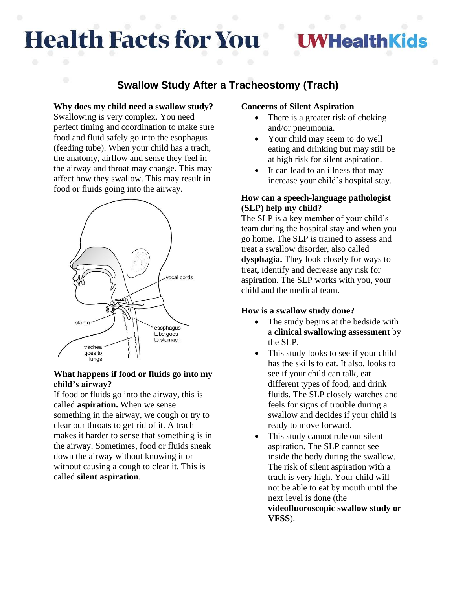# **Health Facts for You**

## **HealthKids**

### **Swallow Study After a Tracheostomy (Trach)**

#### **Why does my child need a swallow study?**

Swallowing is very complex. You need perfect timing and coordination to make sure food and fluid safely go into the esophagus (feeding tube). When your child has a trach, the anatomy, airflow and sense they feel in the airway and throat may change. This may affect how they swallow. This may result in food or fluids going into the airway.



#### **What happens if food or fluids go into my child's airway?**

If food or fluids go into the airway, this is called **aspiration.** When we sense something in the airway, we cough or try to clear our throats to get rid of it. A trach makes it harder to sense that something is in the airway. Sometimes, food or fluids sneak down the airway without knowing it or without causing a cough to clear it. This is called **silent aspiration**.

#### **Concerns of Silent Aspiration**

- There is a greater risk of choking and/or pneumonia.
- Your child may seem to do well eating and drinking but may still be at high risk for silent aspiration.
- It can lead to an illness that may increase your child's hospital stay.

#### **How can a speech-language pathologist (SLP) help my child?**

The SLP is a key member of your child's team during the hospital stay and when you go home. The SLP is trained to assess and treat a swallow disorder, also called **dysphagia.** They look closely for ways to treat, identify and decrease any risk for aspiration. The SLP works with you, your child and the medical team.

#### **How is a swallow study done?**

- The study begins at the bedside with a **clinical swallowing assessment** by the SLP.
- This study looks to see if your child has the skills to eat. It also, looks to see if your child can talk, eat different types of food, and drink fluids. The SLP closely watches and feels for signs of trouble during a swallow and decides if your child is ready to move forward.
- This study cannot rule out silent aspiration. The SLP cannot see inside the body during the swallow. The risk of silent aspiration with a trach is very high. Your child will not be able to eat by mouth until the next level is done (the

**videofluoroscopic swallow study or VFSS**).